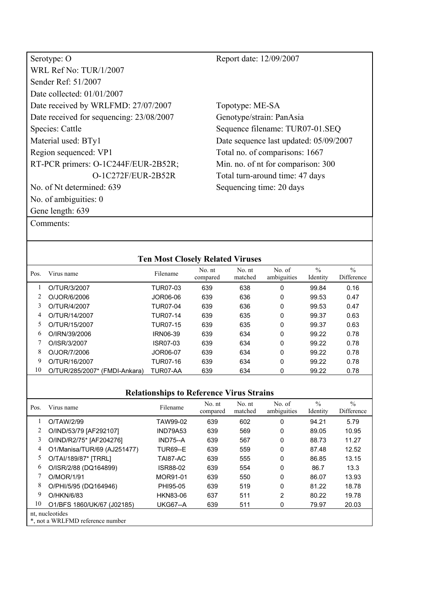| Serotype: O                              | Report date: 12/09/2007                |
|------------------------------------------|----------------------------------------|
| <b>WRL Ref No: TUR/1/2007</b>            |                                        |
| Sender Ref: 51/2007                      |                                        |
| Date collected: $01/01/2007$             |                                        |
| Date received by WRLFMD: 27/07/2007      | Topotype: ME-SA                        |
| Date received for sequencing: 23/08/2007 | Genotype/strain: PanAsia               |
| Species: Cattle                          | Sequence filename: TUR07-01.SEQ        |
| Material used: BTy1                      | Date sequence last updated: 05/09/2007 |
| Region sequenced: VP1                    | Total no. of comparisons: 1667         |
| RT-PCR primers: O-1C244F/EUR-2B52R;      | Min. no. of nt for comparison: 300     |
| O-1C272F/EUR-2B52R                       | Total turn-around time: 47 days        |
| No. of Nt determined: 639                | Sequencing time: 20 days               |
| No. of ambiguities: $0$                  |                                        |
| Gene length: 639                         |                                        |
| Comments:                                |                                        |

|  |  | COMMICIUS. |  |
|--|--|------------|--|
|  |  |            |  |
|  |  |            |  |

|      |                               | <b>Ten Most Closely Related Viruses</b> |                    |                   |                       |                           |                             |
|------|-------------------------------|-----------------------------------------|--------------------|-------------------|-----------------------|---------------------------|-----------------------------|
| Pos. | Virus name                    | Filename                                | No. nt<br>compared | No. nt<br>matched | No. of<br>ambiguities | $\frac{0}{0}$<br>Identity | $\frac{0}{0}$<br>Difference |
|      | O/TUR/3/2007                  | TUR07-03                                | 639                | 638               | 0                     | 99.84                     | 0.16                        |
|      | O/JOR/6/2006                  | JOR06-06                                | 639                | 636               | 0                     | 99.53                     | 0.47                        |
| 3    | O/TUR/4/2007                  | <b>TUR07-04</b>                         | 639                | 636               | 0                     | 99.53                     | 0.47                        |
| 4    | O/TUR/14/2007                 | TUR07-14                                | 639                | 635               | 0                     | 99.37                     | 0.63                        |
| 5    | O/TUR/15/2007                 | TUR07-15                                | 639                | 635               | 0                     | 99.37                     | 0.63                        |
| 6    | O/IRN/39/2006                 | IRN06-39                                | 639                | 634               | 0                     | 99.22                     | 0.78                        |
|      | O/ISR/3/2007                  | ISR07-03                                | 639                | 634               | 0                     | 99.22                     | 0.78                        |
| 8    | O/JOR/7/2006                  | JOR06-07                                | 639                | 634               | 0                     | 99.22                     | 0.78                        |
| 9    | O/TUR/16/2007                 | <b>TUR07-16</b>                         | 639                | 634               | 0                     | 99.22                     | 0.78                        |
| 10   | O/TUR/285/2007* (FMDI-Ankara) | TUR07-AA                                | 639                | 634               | 0                     | 99.22                     | 0.78                        |
|      |                               |                                         |                    |                   |                       |                           |                             |

| Pos.                                                | Virus name                  | Filename        | No. nt<br>compared | No. nt<br>matched | No. of<br>ambiguities | $\frac{0}{0}$<br>Identity | $\frac{0}{0}$<br>Difference |
|-----------------------------------------------------|-----------------------------|-----------------|--------------------|-------------------|-----------------------|---------------------------|-----------------------------|
|                                                     | O/TAW/2/99                  | TAW99-02        | 639                | 602               | 0                     | 94.21                     | 5.79                        |
|                                                     | O/IND/53/79 [AF292107]      | <b>IND79A53</b> | 639                | 569               | 0                     | 89.05                     | 10.95                       |
| 3                                                   | O/IND/R2/75* [AF204276]     | $IND75-A$       | 639                | 567               | 0                     | 88.73                     | 11.27                       |
| 4                                                   | O1/Manisa/TUR/69 (AJ251477) | <b>TUR69--E</b> | 639                | 559               | 0                     | 87.48                     | 12.52                       |
| 5                                                   | O/TAI/189/87* [TRRL]        | TAI87-AC        | 639                | 555               | 0                     | 86.85                     | 13.15                       |
| 6                                                   | O/ISR/2/88 (DQ164899)       | ISR88-02        | 639                | 554               | 0                     | 86.7                      | 13.3                        |
|                                                     | O/MOR/1/91                  | MOR91-01        | 639                | 550               | 0                     | 86.07                     | 13.93                       |
| 8                                                   | O/PHI/5/95 (DQ164946)       | PHI95-05        | 639                | 519               | 0                     | 81.22                     | 18.78                       |
| 9                                                   | O/HKN/6/83                  | HKN83-06        | 637                | 511               | $\overline{2}$        | 80.22                     | 19.78                       |
| 10                                                  | O1/BFS 1860/UK/67 (J02185)  | <b>UKG67--A</b> | 639                | 511               | 0                     | 79.97                     | 20.03                       |
| nt, nucleotides<br>*, not a WRLFMD reference number |                             |                 |                    |                   |                       |                           |                             |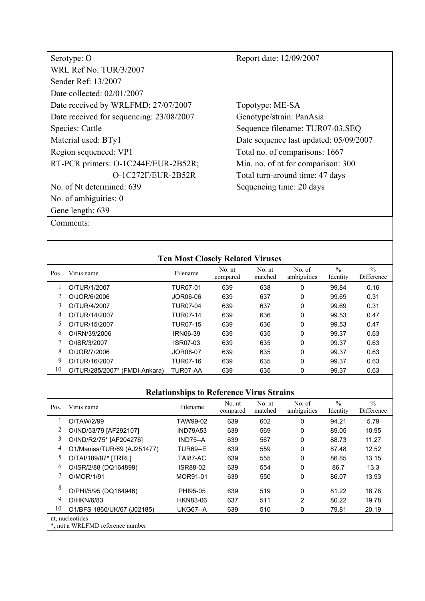| Serotype: O                              |
|------------------------------------------|
| WRL Ref No: TUR/3/2007                   |
| Sender Ref <sup>.</sup> 13/2007          |
| Date collected: 02/01/2007               |
| Date received by WRLFMD: 27/07/2007      |
| Date received for sequencing: 23/08/2007 |
| Species: Cattle                          |
| Material used: BTy1                      |
| Region sequenced: VP1                    |
| RT-PCR primers: O-1C244F/EUR-2B52R;      |
| O-1C272F/EUR-2B52R                       |
| No. of Nt determined: 639                |
| No. of ambiguities: 0                    |
| Gene length: 639                         |

Topotype: ME-SA Genotype/strain: PanAsia Sequence filename: TUR07-03.SEQ Date sequence last updated: 05/09/2007 Total no. of comparisons: 1667 Min. no. of nt for comparison: 300 Total turn-around time: 47 days Sequencing time: 20 days

#### Comments:

|      |                               | <b>Ten Most Closely Related Viruses</b> |                    |                   |                       |                           |                             |
|------|-------------------------------|-----------------------------------------|--------------------|-------------------|-----------------------|---------------------------|-----------------------------|
| Pos. | Virus name                    | Filename                                | No. nt<br>compared | No. nt<br>matched | No. of<br>ambiguities | $\frac{0}{0}$<br>Identity | $\frac{0}{0}$<br>Difference |
|      | O/TUR/1/2007                  | TUR07-01                                | 639                | 638               | 0                     | 99.84                     | 0.16                        |
| 2    | O/JOR/6/2006                  | JOR06-06                                | 639                | 637               | 0                     | 99.69                     | 0.31                        |
| 3    | O/TUR/4/2007                  | <b>TUR07-04</b>                         | 639                | 637               | 0                     | 99.69                     | 0.31                        |
| 4    | O/TUR/14/2007                 | <b>TUR07-14</b>                         | 639                | 636               | 0                     | 99.53                     | 0.47                        |
| 5    | O/TUR/15/2007                 | <b>TUR07-15</b>                         | 639                | 636               | 0                     | 99.53                     | 0.47                        |
| 6    | O/IRN/39/2006                 | <b>IRN06-39</b>                         | 639                | 635               | 0                     | 99.37                     | 0.63                        |
| 7    | O/ISR/3/2007                  | ISR07-03                                | 639                | 635               | 0                     | 99.37                     | 0.63                        |
| 8    | O/JOR/7/2006                  | JOR06-07                                | 639                | 635               | 0                     | 99.37                     | 0.63                        |
| 9    | O/TUR/16/2007                 | TUR07-16                                | 639                | 635               | 0                     | 99.37                     | 0.63                        |
| 10   | O/TUR/285/2007* (FMDI-Ankara) | TUR07-AA                                | 639                | 635               | 0                     | 99.37                     | 0.63                        |

| Pos.                                                | Virus name                  | Filename        | No. nt<br>compared | No. nt<br>matched | No. of<br>ambiguities | $\frac{0}{0}$<br>Identity | $\frac{0}{0}$<br>Difference |
|-----------------------------------------------------|-----------------------------|-----------------|--------------------|-------------------|-----------------------|---------------------------|-----------------------------|
|                                                     | O/TAW/2/99                  | TAW99-02        | 639                | 602               | 0                     | 94.21                     | 5.79                        |
|                                                     | O/IND/53/79 [AF292107]      | <b>IND79A53</b> | 639                | 569               | 0                     | 89.05                     | 10.95                       |
| 3                                                   | O/IND/R2/75* [AF204276]     | $IND75-A$       | 639                | 567               | 0                     | 88.73                     | 11.27                       |
| 4                                                   | O1/Manisa/TUR/69 (AJ251477) | <b>TUR69--E</b> | 639                | 559               | 0                     | 87.48                     | 12.52                       |
| 5                                                   | O/TAI/189/87* [TRRL]        | TAI87-AC        | 639                | 555               | 0                     | 86.85                     | 13.15                       |
| 6                                                   | O/ISR/2/88 (DQ164899)       | ISR88-02        | 639                | 554               | 0                     | 86.7                      | 13.3                        |
|                                                     | O/MOR/1/91                  | MOR91-01        | 639                | 550               | 0                     | 86.07                     | 13.93                       |
| 8                                                   | O/PHI/5/95 (DQ164946)       | PHI95-05        | 639                | 519               | 0                     | 81.22                     | 18.78                       |
| 9                                                   | O/HKN/6/83                  | HKN83-06        | 637                | 511               | 2                     | 80.22                     | 19.78                       |
| 10                                                  | O1/BFS 1860/UK/67 (J02185)  | <b>UKG67--A</b> | 639                | 510               | 0                     | 79.81                     | 20.19                       |
| nt, nucleotides<br>*, not a WRLFMD reference number |                             |                 |                    |                   |                       |                           |                             |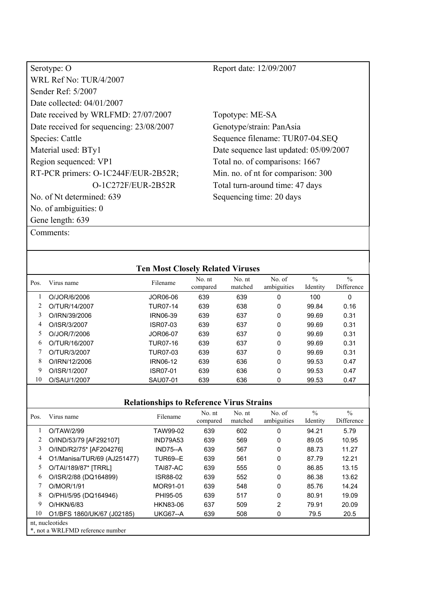| Serotype: O                              |
|------------------------------------------|
| WRL Ref No: TUR/4/2007                   |
| Sender Ref: 5/2007                       |
| Date collected: 04/01/2007               |
| Date received by WRLFMD: 27/07/2007      |
| Date received for sequencing: 23/08/2007 |
| Species: Cattle                          |
| Material used: BTy1                      |
| Region sequenced: VP1                    |
| RT-PCR primers: O-1C244F/EUR-2B52R;      |
| O-1C272F/EUR-2B52R                       |
| No. of Nt determined: 639                |
| No. of ambiguities: 0                    |
| Gene length: 639                         |

Topotype: ME-SA Genotype/strain: PanAsia Sequence filename: TUR07-04.SEQ Date sequence last updated: 05/09/2007 Total no. of comparisons: 1667 Min. no. of nt for comparison: 300 Total turn-around time: 47 days Sequencing time: 20 days

Comments:

| $\frac{0}{0}$<br>$\frac{0}{0}$<br>No. of<br>No. nt<br>No. nt<br>Filename<br>Virus name<br>Pos.<br>ambiguities<br>matched<br>Identity<br>compared<br>639<br>639<br>0<br>0<br>O/JOR/6/2006<br>100<br>JOR06-06<br>0<br>O/TUR/14/2007<br><b>TUR07-14</b><br>639<br>638<br>99.84<br>0.16<br>3<br>O/IRN/39/2006<br>639<br>637<br><b>IRN06-39</b><br>0<br>99.69<br>0.31<br>4<br>O/ISR/3/2007<br>ISR07-03<br>639<br>637<br>0<br>0.31<br>99.69<br>5<br>O/JOR/7/2006<br>0<br>JOR06-07<br>639<br>637<br>99.69<br>0.31<br>6<br>O/TUR/16/2007<br>639<br>637<br>0<br>0.31<br>TUR07-16<br>99.69<br>637<br>O/TUR/3/2007<br>TUR07-03<br>639<br>0<br>99.69<br>0.31<br>8<br>O/IRN/12/2006<br>636<br>0<br><b>IRN06-12</b><br>639<br>99.53<br>0.47<br>9<br>0<br>O/ISR/1/2007<br>ISR07-01<br>639<br>636<br>99.53<br>0.47<br>10<br>O/SAU/1/2007<br>SAU07-01<br>639<br>636<br>99.53<br>0.47<br>0 |  | <b>Ten Most Closely Related Viruses</b> |  |  |            |
|--------------------------------------------------------------------------------------------------------------------------------------------------------------------------------------------------------------------------------------------------------------------------------------------------------------------------------------------------------------------------------------------------------------------------------------------------------------------------------------------------------------------------------------------------------------------------------------------------------------------------------------------------------------------------------------------------------------------------------------------------------------------------------------------------------------------------------------------------------------------------|--|-----------------------------------------|--|--|------------|
|                                                                                                                                                                                                                                                                                                                                                                                                                                                                                                                                                                                                                                                                                                                                                                                                                                                                          |  |                                         |  |  | Difference |
|                                                                                                                                                                                                                                                                                                                                                                                                                                                                                                                                                                                                                                                                                                                                                                                                                                                                          |  |                                         |  |  |            |
|                                                                                                                                                                                                                                                                                                                                                                                                                                                                                                                                                                                                                                                                                                                                                                                                                                                                          |  |                                         |  |  |            |
|                                                                                                                                                                                                                                                                                                                                                                                                                                                                                                                                                                                                                                                                                                                                                                                                                                                                          |  |                                         |  |  |            |
|                                                                                                                                                                                                                                                                                                                                                                                                                                                                                                                                                                                                                                                                                                                                                                                                                                                                          |  |                                         |  |  |            |
|                                                                                                                                                                                                                                                                                                                                                                                                                                                                                                                                                                                                                                                                                                                                                                                                                                                                          |  |                                         |  |  |            |
|                                                                                                                                                                                                                                                                                                                                                                                                                                                                                                                                                                                                                                                                                                                                                                                                                                                                          |  |                                         |  |  |            |
|                                                                                                                                                                                                                                                                                                                                                                                                                                                                                                                                                                                                                                                                                                                                                                                                                                                                          |  |                                         |  |  |            |
|                                                                                                                                                                                                                                                                                                                                                                                                                                                                                                                                                                                                                                                                                                                                                                                                                                                                          |  |                                         |  |  |            |
|                                                                                                                                                                                                                                                                                                                                                                                                                                                                                                                                                                                                                                                                                                                                                                                                                                                                          |  |                                         |  |  |            |
|                                                                                                                                                                                                                                                                                                                                                                                                                                                                                                                                                                                                                                                                                                                                                                                                                                                                          |  |                                         |  |  |            |

| Pos.                                                | Virus name                  | Filename        | No. nt<br>compared | No. nt<br>matched | No. of<br>ambiguities | $\frac{0}{0}$<br>Identity | $\frac{0}{0}$<br>Difference |
|-----------------------------------------------------|-----------------------------|-----------------|--------------------|-------------------|-----------------------|---------------------------|-----------------------------|
|                                                     | O/TAW/2/99                  | TAW99-02        | 639                | 602               | 0                     | 94.21                     | 5.79                        |
|                                                     | O/IND/53/79 [AF292107]      | <b>IND79A53</b> | 639                | 569               | 0                     | 89.05                     | 10.95                       |
| 3                                                   | O/IND/R2/75* [AF204276]     | $IND75-A$       | 639                | 567               | 0                     | 88.73                     | 11.27                       |
| 4                                                   | O1/Manisa/TUR/69 (AJ251477) | <b>TUR69--E</b> | 639                | 561               | 0                     | 87.79                     | 12.21                       |
| 5                                                   | O/TAI/189/87* [TRRL]        | TAI87-AC        | 639                | 555               | 0                     | 86.85                     | 13.15                       |
| 6                                                   | O/ISR/2/88 (DQ164899)       | ISR88-02        | 639                | 552               | 0                     | 86.38                     | 13.62                       |
|                                                     | O/MOR/1/91                  | MOR91-01        | 639                | 548               | 0                     | 85.76                     | 14.24                       |
| 8                                                   | O/PHI/5/95 (DQ164946)       | PHI95-05        | 639                | 517               | 0                     | 80.91                     | 19.09                       |
| 9                                                   | O/HKN/6/83                  | <b>HKN83-06</b> | 637                | 509               | 2                     | 79.91                     | 20.09                       |
| 10                                                  | O1/BFS 1860/UK/67 (J02185)  | <b>UKG67--A</b> | 639                | 508               | 0                     | 79.5                      | 20.5                        |
| nt, nucleotides<br>*, not a WRLFMD reference number |                             |                 |                    |                   |                       |                           |                             |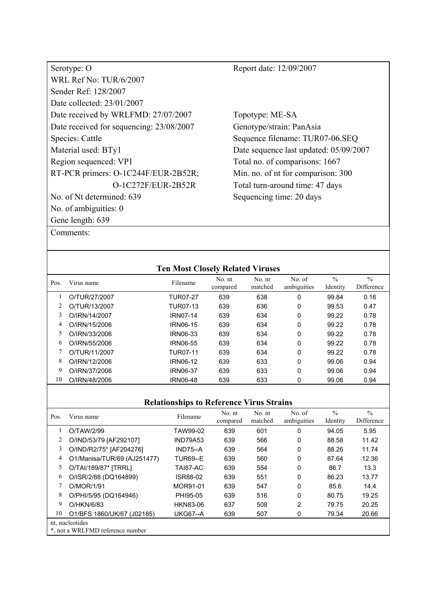| Serotype: O                              |
|------------------------------------------|
| <b>WRL Ref No: TUR/6/2007</b>            |
| Sender Ref <sup>.</sup> 128/2007         |
| Date collected: 23/01/2007               |
| Date received by WRLFMD: 27/07/2007      |
| Date received for sequencing: 23/08/2007 |
| Species: Cattle                          |
| Material used: BTy1                      |
| Region sequenced: VP1                    |
| RT-PCR primers: O-1C244F/EUR-2B52R;      |
| $O-1C272F/EUR-2B52R$                     |
| No. of Nt determined: 639                |
| No. of ambiguities: 0                    |
| Gene length: 639                         |

Topotype: ME-SA Genotype/strain: PanAsia Sequence filename: TUR07-06.SEQ Date sequence last updated: 05/09/2007 Total no. of comparisons: 1667 Min. no. of nt for comparison: 300 Total turn-around time: 47 days Sequencing time: 20 days

| Comments: |
|-----------|
|-----------|

|      |               | <b>Ten Most Closely Related Viruses</b> |                    |                   |                       |                           |                             |
|------|---------------|-----------------------------------------|--------------------|-------------------|-----------------------|---------------------------|-----------------------------|
| Pos. | Virus name    | Filename                                | No. nt<br>compared | No. nt<br>matched | No. of<br>ambiguities | $\frac{0}{0}$<br>Identity | $\frac{0}{0}$<br>Difference |
|      | O/TUR/27/2007 | <b>TUR07-27</b>                         | 639                | 638               | 0                     | 99.84                     | 0.16                        |
|      | O/TUR/13/2007 | <b>TUR07-13</b>                         | 639                | 636               | 0                     | 99.53                     | 0.47                        |
| 3    | O/IRN/14/2007 | <b>IRN07-14</b>                         | 639                | 634               | 0                     | 99.22                     | 0.78                        |
| 4    | O/IRN/15/2006 | IRN06-15                                | 639                | 634               | 0                     | 99.22                     | 0.78                        |
| 5    | O/IRN/33/2006 | IRN06-33                                | 639                | 634               | 0                     | 99.22                     | 0.78                        |
| 6    | O/IRN/55/2006 | <b>IRN06-55</b>                         | 639                | 634               | 0                     | 99.22                     | 0.78                        |
|      | O/TUR/11/2007 | TUR07-11                                | 639                | 634               | 0                     | 99.22                     | 0.78                        |
| 8    | O/IRN/12/2006 | <b>IRN06-12</b>                         | 639                | 633               | $\Omega$              | 99.06                     | 0.94                        |
| 9    | O/IRN/37/2006 | <b>IRN06-37</b>                         | 639                | 633               | 0                     | 99.06                     | 0.94                        |
| 10   | O/IRN/48/2006 | <b>IRN06-48</b>                         | 639                | 633               | 0                     | 99.06                     | 0.94                        |

| Pos. | Virus name                                          | Filename        | No. nt<br>compared | No. nt<br>matched | No. of<br>ambiguities | $\frac{0}{0}$<br>Identity | $\frac{0}{0}$<br>Difference |
|------|-----------------------------------------------------|-----------------|--------------------|-------------------|-----------------------|---------------------------|-----------------------------|
|      | O/TAW/2/99                                          | TAW99-02        | 639                | 601               | 0                     | 94.05                     | 5.95                        |
|      | O/IND/53/79 [AF292107]                              | <b>IND79A53</b> | 639                | 566               | 0                     | 88.58                     | 11.42                       |
| 3    | O/IND/R2/75* [AF204276]                             | $IND75-A$       | 639                | 564               | 0                     | 88.26                     | 11.74                       |
| 4    | O1/Manisa/TUR/69 (AJ251477)                         | <b>TUR69--E</b> | 639                | 560               | 0                     | 87.64                     | 12.36                       |
| 5.   | O/TAI/189/87* [TRRL]                                | TAI87-AC        | 639                | 554               | 0                     | 86.7                      | 13.3                        |
| 6    | O/ISR/2/88 (DQ164899)                               | ISR88-02        | 639                | 551               | 0                     | 86.23                     | 13.77                       |
|      | O/MOR/1/91                                          | MOR91-01        | 639                | 547               | 0                     | 85.6                      | 14.4                        |
| 8    | O/PHI/5/95 (DQ164946)                               | PHI95-05        | 639                | 516               | 0                     | 80.75                     | 19.25                       |
| 9    | O/HKN/6/83                                          | <b>HKN83-06</b> | 637                | 508               | 2                     | 79.75                     | 20.25                       |
| 10   | O1/BFS 1860/UK/67 (J02185)                          | <b>UKG67--A</b> | 639                | 507               | 0                     | 79.34                     | 20.66                       |
|      | nt, nucleotides<br>*, not a WRLFMD reference number |                 |                    |                   |                       |                           |                             |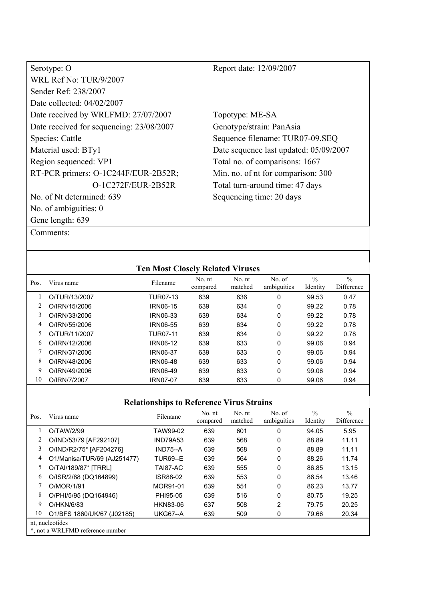| Serotype: O                              |
|------------------------------------------|
| <b>WRL Ref No: TUR/9/2007</b>            |
| Sender Ref: 238/2007                     |
| Date collected: 04/02/2007               |
| Date received by WRLFMD: 27/07/2007      |
| Date received for sequencing: 23/08/2007 |
| Species: Cattle                          |
| Material used: BTy1                      |
| Region sequenced: VP1                    |
| RT-PCR primers: O-1C244F/EUR-2B52R;      |
| O-1C272F/EUR-2B52R                       |
| No. of Nt determined: 639                |
| No. of ambiguities: 0                    |
| Gene length: 639                         |

Topotype: ME-SA Genotype/strain: PanAsia Sequence filename: TUR07-09.SEQ Date sequence last updated: 05/09/2007 Total no. of comparisons: 1667 Min. no. of nt for comparison: 300 Total turn-around time: 47 days Sequencing time: 20 days

Comments:

| $\frac{0}{0}$<br>$\frac{0}{0}$<br>No. nt<br>No. nt<br>No. of<br>Filename<br>Virus name<br>Pos.<br>ambiguities<br>matched<br>Identity<br>compared<br>636<br>639<br>0<br>O/TUR/13/2007<br>99.53<br>0.47<br>TUR07-13<br><b>IRN06-15</b><br>O/IRN/15/2006<br>639<br>634<br>0<br>99.22<br>0.78<br>3<br>O/IRN/33/2006<br>639<br>634<br>0<br><b>IRN06-33</b><br>99.22<br>0.78<br>4<br>0<br>O/IRN/55/2006<br>639<br>634<br><b>IRN06-55</b><br>99.22<br>0.78<br>5<br>O/TUR/11/2007<br><b>TUR07-11</b><br>639<br>634<br>0<br>0.78<br>99.22<br>6<br>O/IRN/12/2006<br><b>IRN06-12</b><br>639<br>633<br>0<br>99.06<br>0.94<br>O/IRN/37/2006<br><b>IRN06-37</b><br>639<br>633<br>0<br>99.06<br>0.94<br>8<br>0<br>O/IRN/48/2006<br><b>IRN06-48</b><br>639<br>633<br>99.06<br>0.94<br>9<br>O/IRN/49/2006<br>639<br>633<br>0<br><b>IRN06-49</b><br>99.06<br>0.94 |  | <b>Ten Most Closely Related Viruses</b> |  |  |            |
|-------------------------------------------------------------------------------------------------------------------------------------------------------------------------------------------------------------------------------------------------------------------------------------------------------------------------------------------------------------------------------------------------------------------------------------------------------------------------------------------------------------------------------------------------------------------------------------------------------------------------------------------------------------------------------------------------------------------------------------------------------------------------------------------------------------------------------------------------|--|-----------------------------------------|--|--|------------|
|                                                                                                                                                                                                                                                                                                                                                                                                                                                                                                                                                                                                                                                                                                                                                                                                                                                 |  |                                         |  |  | Difference |
|                                                                                                                                                                                                                                                                                                                                                                                                                                                                                                                                                                                                                                                                                                                                                                                                                                                 |  |                                         |  |  |            |
|                                                                                                                                                                                                                                                                                                                                                                                                                                                                                                                                                                                                                                                                                                                                                                                                                                                 |  |                                         |  |  |            |
|                                                                                                                                                                                                                                                                                                                                                                                                                                                                                                                                                                                                                                                                                                                                                                                                                                                 |  |                                         |  |  |            |
|                                                                                                                                                                                                                                                                                                                                                                                                                                                                                                                                                                                                                                                                                                                                                                                                                                                 |  |                                         |  |  |            |
|                                                                                                                                                                                                                                                                                                                                                                                                                                                                                                                                                                                                                                                                                                                                                                                                                                                 |  |                                         |  |  |            |
|                                                                                                                                                                                                                                                                                                                                                                                                                                                                                                                                                                                                                                                                                                                                                                                                                                                 |  |                                         |  |  |            |
|                                                                                                                                                                                                                                                                                                                                                                                                                                                                                                                                                                                                                                                                                                                                                                                                                                                 |  |                                         |  |  |            |
|                                                                                                                                                                                                                                                                                                                                                                                                                                                                                                                                                                                                                                                                                                                                                                                                                                                 |  |                                         |  |  |            |
|                                                                                                                                                                                                                                                                                                                                                                                                                                                                                                                                                                                                                                                                                                                                                                                                                                                 |  |                                         |  |  |            |
| 10<br>O/IRN/7/2007<br>633<br><b>IRN07-07</b><br>639<br>99.06<br>0<br>0.94                                                                                                                                                                                                                                                                                                                                                                                                                                                                                                                                                                                                                                                                                                                                                                       |  |                                         |  |  |            |

| Pos. | Virus name                                          | Filename        | No. nt<br>compared | No. nt<br>matched | No. of<br>ambiguities | $\frac{0}{0}$<br>Identity | $\frac{0}{0}$<br>Difference |
|------|-----------------------------------------------------|-----------------|--------------------|-------------------|-----------------------|---------------------------|-----------------------------|
|      | O/TAW/2/99                                          | TAW99-02        | 639                | 601               | 0                     | 94.05                     | 5.95                        |
|      | O/IND/53/79 [AF292107]                              | <b>IND79A53</b> | 639                | 568               | 0                     | 88.89                     | 11.11                       |
| 3    | O/IND/R2/75* [AF204276]                             | $IND75-A$       | 639                | 568               | 0                     | 88.89                     | 11.11                       |
| 4    | O1/Manisa/TUR/69 (AJ251477)                         | <b>TUR69--E</b> | 639                | 564               | 0                     | 88.26                     | 11.74                       |
| 5    | O/TAI/189/87* [TRRL]                                | TAI87-AC        | 639                | 555               | 0                     | 86.85                     | 13.15                       |
| 6    | O/ISR/2/88 (DQ164899)                               | ISR88-02        | 639                | 553               | 0                     | 86.54                     | 13.46                       |
|      | O/MOR/1/91                                          | MOR91-01        | 639                | 551               | 0                     | 86.23                     | 13.77                       |
| 8    | O/PHI/5/95 (DQ164946)                               | PHI95-05        | 639                | 516               | 0                     | 80.75                     | 19.25                       |
| 9    | O/HKN/6/83                                          | <b>HKN83-06</b> | 637                | 508               | 2                     | 79.75                     | 20.25                       |
| 10   | O1/BFS 1860/UK/67 (J02185)                          | <b>UKG67--A</b> | 639                | 509               | 0                     | 79.66                     | 20.34                       |
|      | nt, nucleotides<br>*, not a WRLFMD reference number |                 |                    |                   |                       |                           |                             |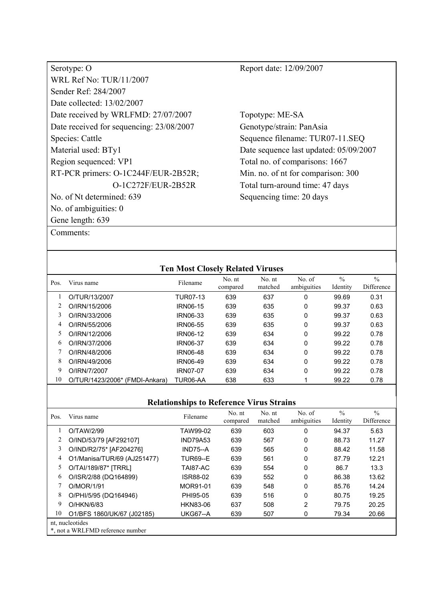| Serotype: O                              |
|------------------------------------------|
| <b>WRL Ref No: TUR/11/2007</b>           |
| Sender Ref: 284/2007                     |
| Date collected: 13/02/2007               |
| Date received by WRLFMD: 27/07/2007      |
| Date received for sequencing: 23/08/2007 |
| Species: Cattle                          |
| Material used: BTy1                      |
| Region sequenced: VP1                    |
| RT-PCR primers: O-1C244F/EUR-2B52R;      |
| O-1C272F/EUR-2B52R                       |
| No. of Nt determined: 639                |
| No. of ambiguities: 0                    |
| Gene length: 639                         |

Comments:

Report date: 12/09/2007

Topotype: ME-SA Genotype/strain: PanAsia Sequence filename: TUR07-11.SEQ Date sequence last updated: 05/09/2007 Total no. of comparisons: 1667 Min. no. of nt for comparison: 300 Total turn-around time: 47 days Sequencing time: 20 days

|      |                                | <b>Ten Most Closely Related Viruses</b> |                    |                   |                       |                           |                             |
|------|--------------------------------|-----------------------------------------|--------------------|-------------------|-----------------------|---------------------------|-----------------------------|
| Pos. | Virus name                     | Filename                                | No. nt<br>compared | No. nt<br>matched | No. of<br>ambiguities | $\frac{0}{0}$<br>Identity | $\frac{0}{0}$<br>Difference |
|      | O/TUR/13/2007                  | TUR07-13                                | 639                | 637               | 0                     | 99.69                     | 0.31                        |
|      | O/IRN/15/2006                  | <b>IRN06-15</b>                         | 639                | 635               | $\mathbf 0$           | 99.37                     | 0.63                        |
| 3    | O/IRN/33/2006                  | <b>IRN06-33</b>                         | 639                | 635               | $\mathbf 0$           | 99.37                     | 0.63                        |
| 4    | O/IRN/55/2006                  | <b>IRN06-55</b>                         | 639                | 635               | 0                     | 99.37                     | 0.63                        |
| 5    | O/IRN/12/2006                  | <b>IRN06-12</b>                         | 639                | 634               | 0                     | 99.22                     | 0.78                        |
| 6    | O/IRN/37/2006                  | <b>IRN06-37</b>                         | 639                | 634               | 0                     | 99.22                     | 0.78                        |
|      | O/IRN/48/2006                  | <b>IRN06-48</b>                         | 639                | 634               | 0                     | 99.22                     | 0.78                        |
| 8    | O/IRN/49/2006                  | <b>IRN06-49</b>                         | 639                | 634               | 0                     | 99.22                     | 0.78                        |
| 9    | O/IRN/7/2007                   | <b>IRN07-07</b>                         | 639                | 634               | 0                     | 99.22                     | 0.78                        |
| 10   | O/TUR/1423/2006* (FMDI-Ankara) | TUR06-AA                                | 638                | 633               |                       | 99.22                     | 0.78                        |

| Pos. | Virus name                                          | Filename        | No. nt<br>compared | No. nt<br>matched | No. of<br>ambiguities | $\frac{0}{0}$<br>Identity | $\frac{0}{0}$<br>Difference |
|------|-----------------------------------------------------|-----------------|--------------------|-------------------|-----------------------|---------------------------|-----------------------------|
|      | O/TAW/2/99                                          | TAW99-02        | 639                | 603               | 0                     | 94.37                     | 5.63                        |
|      | O/IND/53/79 [AF292107]                              | <b>IND79A53</b> | 639                | 567               | 0                     | 88.73                     | 11.27                       |
| 3    | O/IND/R2/75* [AF204276]                             | $IND75-A$       | 639                | 565               | 0                     | 88.42                     | 11.58                       |
| 4    | O1/Manisa/TUR/69 (AJ251477)                         | <b>TUR69--E</b> | 639                | 561               | 0                     | 87.79                     | 12.21                       |
| 5.   | O/TAI/189/87* [TRRL]                                | TAI87-AC        | 639                | 554               | 0                     | 86.7                      | 13.3                        |
| 6    | O/ISR/2/88 (DQ164899)                               | <b>ISR88-02</b> | 639                | 552               | 0                     | 86.38                     | 13.62                       |
|      | O/MOR/1/91                                          | MOR91-01        | 639                | 548               | 0                     | 85.76                     | 14.24                       |
| 8    | O/PHI/5/95 (DQ164946)                               | PHI95-05        | 639                | 516               | 0                     | 80.75                     | 19.25                       |
| 9    | O/HKN/6/83                                          | <b>HKN83-06</b> | 637                | 508               | $\overline{2}$        | 79.75                     | 20.25                       |
| 10   | O1/BFS 1860/UK/67 (J02185)                          | <b>UKG67--A</b> | 639                | 507               | 0                     | 79.34                     | 20.66                       |
|      | nt, nucleotides<br>*, not a WRLFMD reference number |                 |                    |                   |                       |                           |                             |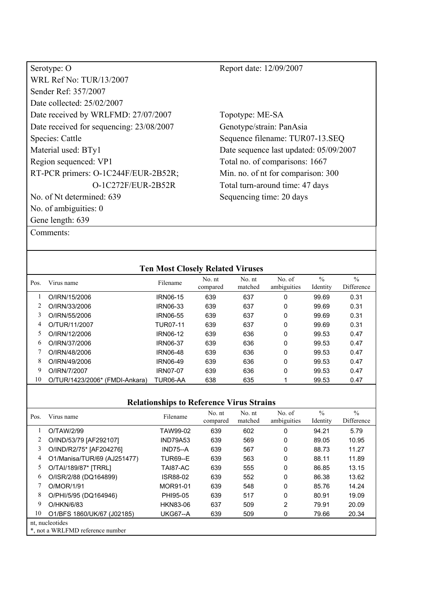| Serotype: O                              | Report date: 12/09/2007                |
|------------------------------------------|----------------------------------------|
| WRL Ref No: TUR/13/2007                  |                                        |
| Sender Ref: 357/2007                     |                                        |
| Date collected: 25/02/2007               |                                        |
| Date received by WRLFMD: 27/07/2007      | Topotype: ME-SA                        |
| Date received for sequencing: 23/08/2007 | Genotype/strain: PanAsia               |
| Species: Cattle                          | Sequence filename: TUR07-13.SEQ        |
| Material used: BTy1                      | Date sequence last updated: 05/09/2007 |
| Region sequenced: VP1                    | Total no. of comparisons: 1667         |
| RT-PCR primers: O-1C244F/EUR-2B52R;      | Min. no. of nt for comparison: 300     |
| O-1C272F/EUR-2B52R                       | Total turn-around time: 47 days        |
| No. of Nt determined: 639                | Sequencing time: 20 days               |
| No. of ambiguities: $0$                  |                                        |
| Gene length: 639                         |                                        |
| Comments:                                |                                        |

|      |                                | <b>Ten Most Closely Related Viruses</b> |                    |                   |                       |                           |                             |
|------|--------------------------------|-----------------------------------------|--------------------|-------------------|-----------------------|---------------------------|-----------------------------|
| Pos. | Virus name                     | Filename                                | No. nt<br>compared | No. nt<br>matched | No. of<br>ambiguities | $\frac{0}{0}$<br>Identity | $\frac{0}{0}$<br>Difference |
|      | O/IRN/15/2006                  | <b>IRN06-15</b>                         | 639                | 637               | 0                     | 99.69                     | 0.31                        |
| 2    | O/IRN/33/2006                  | <b>IRN06-33</b>                         | 639                | 637               | 0                     | 99.69                     | 0.31                        |
| 3    | O/IRN/55/2006                  | <b>IRN06-55</b>                         | 639                | 637               | 0                     | 99.69                     | 0.31                        |
| 4    | O/TUR/11/2007                  | <b>TUR07-11</b>                         | 639                | 637               | 0                     | 99.69                     | 0.31                        |
| 5    | O/IRN/12/2006                  | <b>IRN06-12</b>                         | 639                | 636               | 0                     | 99.53                     | 0.47                        |
| 6    | O/IRN/37/2006                  | <b>IRN06-37</b>                         | 639                | 636               | 0                     | 99.53                     | 0.47                        |
|      | O/IRN/48/2006                  | <b>IRN06-48</b>                         | 639                | 636               | 0                     | 99.53                     | 0.47                        |
| 8    | O/IRN/49/2006                  | <b>IRN06-49</b>                         | 639                | 636               | 0                     | 99.53                     | 0.47                        |
| 9    | O/IRN/7/2007                   | <b>IRN07-07</b>                         | 639                | 636               | 0                     | 99.53                     | 0.47                        |
| 10   | O/TUR/1423/2006* (FMDI-Ankara) | TUR06-AA                                | 638                | 635               |                       | 99.53                     | 0.47                        |

| Pos. | Virus name                                          | Filename        | No. nt<br>compared | No. nt<br>matched | No. of<br>ambiguities | $\frac{0}{0}$<br>Identity | $\frac{0}{0}$<br>Difference |
|------|-----------------------------------------------------|-----------------|--------------------|-------------------|-----------------------|---------------------------|-----------------------------|
|      | O/TAW/2/99                                          | TAW99-02        | 639                | 602               | 0                     | 94.21                     | 5.79                        |
|      | O/IND/53/79 [AF292107]                              | IND79A53        | 639                | 569               | 0                     | 89.05                     | 10.95                       |
| 3    | O/IND/R2/75* [AF204276]                             | <b>IND75--A</b> | 639                | 567               | 0                     | 88.73                     | 11.27                       |
| 4    | O1/Manisa/TUR/69 (AJ251477)                         | <b>TUR69--E</b> | 639                | 563               | 0                     | 88.11                     | 11.89                       |
| 5    | O/TAI/189/87* [TRRL]                                | TAI87-AC        | 639                | 555               | 0                     | 86.85                     | 13.15                       |
| 6    | O/ISR/2/88 (DQ164899)                               | ISR88-02        | 639                | 552               | 0                     | 86.38                     | 13.62                       |
|      | O/MOR/1/91                                          | MOR91-01        | 639                | 548               | 0                     | 85.76                     | 14.24                       |
| 8    | O/PHI/5/95 (DQ164946)                               | PHI95-05        | 639                | 517               | 0                     | 80.91                     | 19.09                       |
| 9    | O/HKN/6/83                                          | <b>HKN83-06</b> | 637                | 509               | $\overline{2}$        | 79.91                     | 20.09                       |
| 10   | O1/BFS 1860/UK/67 (J02185)                          | <b>UKG67--A</b> | 639                | 509               | 0                     | 79.66                     | 20.34                       |
|      | nt, nucleotides<br>*, not a WRLFMD reference number |                 |                    |                   |                       |                           |                             |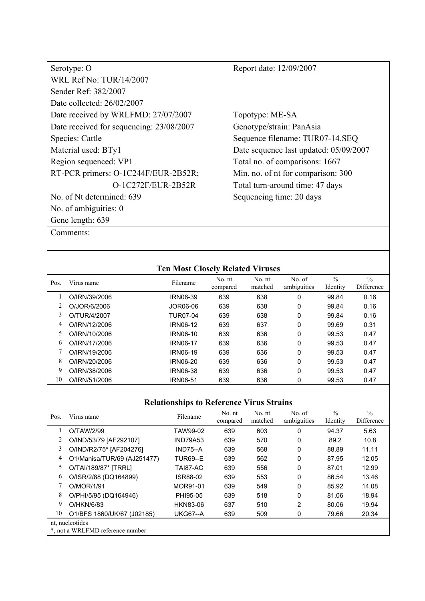| Serotype: O                              |
|------------------------------------------|
| <b>WRL Ref No: TUR/14/2007</b>           |
| Sender Ref: 382/2007                     |
| Date collected: 26/02/2007               |
| Date received by WRLFMD: 27/07/2007      |
| Date received for sequencing: 23/08/2007 |
| Species: Cattle                          |
| Material used: BTy1                      |
| Region sequenced: VP1                    |
| RT-PCR primers: O-1C244F/EUR-2B52R;      |
| O-1C272F/EUR-2B52R                       |
| No. of Nt determined: 639                |
| No. of ambiguities: 0                    |
| Gene length: 639                         |

Topotype: ME-SA Genotype/strain: PanAsia Sequence filename: TUR07-14.SEQ Date sequence last updated: 05/09/2007 Total no. of comparisons: 1667 Min. no. of nt for comparison: 300 Total turn-around time: 47 days Sequencing time: 20 days

| Comments: |
|-----------|
|-----------|

| <b>Ten Most Closely Related Viruses</b> |               |                 |                    |                   |                       |                           |                             |
|-----------------------------------------|---------------|-----------------|--------------------|-------------------|-----------------------|---------------------------|-----------------------------|
| Pos.                                    | Virus name    | Filename        | No. nt<br>compared | No. nt<br>matched | No. of<br>ambiguities | $\frac{0}{0}$<br>Identity | $\frac{0}{0}$<br>Difference |
|                                         | O/IRN/39/2006 | <b>IRN06-39</b> | 639                | 638               | 0                     | 99.84                     | 0.16                        |
|                                         | O/JOR/6/2006  | JOR06-06        | 639                | 638               | 0                     | 99.84                     | 0.16                        |
| 3                                       | O/TUR/4/2007  | <b>TUR07-04</b> | 639                | 638               | 0                     | 99.84                     | 0.16                        |
| 4                                       | O/IRN/12/2006 | <b>IRN06-12</b> | 639                | 637               | 0                     | 99.69                     | 0.31                        |
| 5                                       | O/IRN/10/2006 | IRN06-10        | 639                | 636               | 0                     | 99.53                     | 0.47                        |
| 6                                       | O/IRN/17/2006 | <b>IRN06-17</b> | 639                | 636               | 0                     | 99.53                     | 0.47                        |
|                                         | O/IRN/19/2006 | <b>IRN06-19</b> | 639                | 636               | 0                     | 99.53                     | 0.47                        |
| 8                                       | O/IRN/20/2006 | <b>IRN06-20</b> | 639                | 636               | 0                     | 99.53                     | 0.47                        |
| 9                                       | O/IRN/38/2006 | <b>IRN06-38</b> | 639                | 636               | 0                     | 99.53                     | 0.47                        |
| 10                                      | O/IRN/51/2006 | <b>IRN06-51</b> | 639                | 636               | 0                     | 99.53                     | 0.47                        |

| Pos. | Virus name                                          | Filename        | No. nt<br>compared | No. nt<br>matched | No. of<br>ambiguities | $\frac{0}{0}$<br>Identity | $\frac{0}{0}$<br>Difference |  |  |
|------|-----------------------------------------------------|-----------------|--------------------|-------------------|-----------------------|---------------------------|-----------------------------|--|--|
|      | O/TAW/2/99                                          | TAW99-02        | 639                | 603               | 0                     | 94.37                     | 5.63                        |  |  |
|      | O/IND/53/79 [AF292107]                              | <b>IND79A53</b> | 639                | 570               | 0                     | 89.2                      | 10.8                        |  |  |
| 3    | O/IND/R2/75* [AF204276]                             | $IND75-A$       | 639                | 568               | 0                     | 88.89                     | 11.11                       |  |  |
| 4    | O1/Manisa/TUR/69 (AJ251477)                         | <b>TUR69--E</b> | 639                | 562               | $\Omega$              | 87.95                     | 12.05                       |  |  |
| 5.   | O/TAI/189/87* [TRRL]                                | TAI87-AC        | 639                | 556               | 0                     | 87.01                     | 12.99                       |  |  |
| 6    | O/ISR/2/88 (DQ164899)                               | ISR88-02        | 639                | 553               | 0                     | 86.54                     | 13.46                       |  |  |
|      | O/MOR/1/91                                          | MOR91-01        | 639                | 549               | 0                     | 85.92                     | 14.08                       |  |  |
| 8    | O/PHI/5/95 (DQ164946)                               | PHI95-05        | 639                | 518               | 0                     | 81.06                     | 18.94                       |  |  |
| 9    | O/HKN/6/83                                          | <b>HKN83-06</b> | 637                | 510               | 2                     | 80.06                     | 19.94                       |  |  |
| 10   | O1/BFS 1860/UK/67 (J02185)                          | <b>UKG67--A</b> | 639                | 509               | 0                     | 79.66                     | 20.34                       |  |  |
|      | nt, nucleotides<br>*, not a WRLFMD reference number |                 |                    |                   |                       |                           |                             |  |  |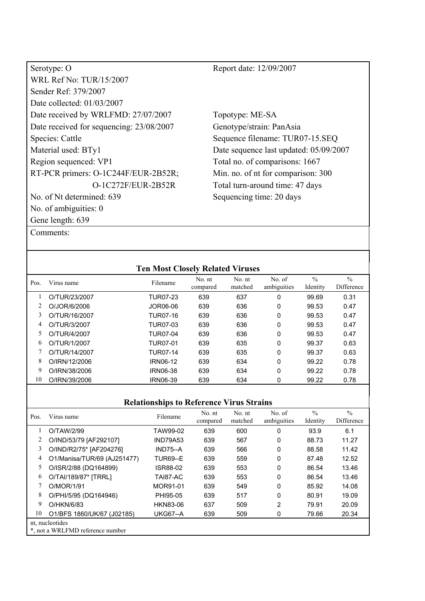| Serotype: O                              |
|------------------------------------------|
| WRL Ref No: TUR/15/2007                  |
| Sender Ref: 379/2007                     |
| Date collected: 01/03/2007               |
| Date received by WRLFMD: 27/07/2007      |
| Date received for sequencing: 23/08/2007 |
| Species: Cattle                          |
| Material used: BTy1                      |
| Region sequenced: VP1                    |
| RT-PCR primers: O-1C244F/EUR-2B52R;      |
| O-1C272F/EUR-2B52R                       |
| No. of Nt determined: 639                |
| No. of ambiguities: 0                    |
| Gene length: 639                         |

Topotype: ME-SA Genotype/strain: PanAsia Sequence filename: TUR07-15.SEQ Date sequence last updated: 05/09/2007 Total no. of comparisons: 1667 Min. no. of nt for comparison: 300 Total turn-around time: 47 days Sequencing time: 20 days

Comments:

|      |               | <b>Ten Most Closely Related Viruses</b> |                    |                   |                       |                           |                             |
|------|---------------|-----------------------------------------|--------------------|-------------------|-----------------------|---------------------------|-----------------------------|
| Pos. | Virus name    | Filename                                | No. nt<br>compared | No. nt<br>matched | No. of<br>ambiguities | $\frac{0}{0}$<br>Identity | $\frac{0}{0}$<br>Difference |
|      | O/TUR/23/2007 | TUR07-23                                | 639                | 637               | 0                     | 99.69                     | 0.31                        |
|      | O/JOR/6/2006  | JOR06-06                                | 639                | 636               | 0                     | 99.53                     | 0.47                        |
| 3    | O/TUR/16/2007 | <b>TUR07-16</b>                         | 639                | 636               | 0                     | 99.53                     | 0.47                        |
| 4    | O/TUR/3/2007  | TUR07-03                                | 639                | 636               | 0                     | 99.53                     | 0.47                        |
| 5    | O/TUR/4/2007  | TUR07-04                                | 639                | 636               | 0                     | 99.53                     | 0.47                        |
| 6    | O/TUR/1/2007  | <b>TUR07-01</b>                         | 639                | 635               | 0                     | 99.37                     | 0.63                        |
|      | O/TUR/14/2007 | TUR07-14                                | 639                | 635               | 0                     | 99.37                     | 0.63                        |
| 8    | O/IRN/12/2006 | <b>IRN06-12</b>                         | 639                | 634               | 0                     | 99.22                     | 0.78                        |
| 9    | O/IRN/38/2006 | <b>IRN06-38</b>                         | 639                | 634               | 0                     | 99.22                     | 0.78                        |
| 10   | O/IRN/39/2006 | <b>IRN06-39</b>                         | 639                | 634               | 0                     | 99.22                     | 0.78                        |
|      |               |                                         |                    |                   |                       |                           |                             |

| Pos. | Virus name                                          | Filename        | No. nt<br>compared | No. nt<br>matched | No. of<br>ambiguities | $\frac{0}{0}$<br>Identity | $\frac{0}{0}$<br>Difference |  |
|------|-----------------------------------------------------|-----------------|--------------------|-------------------|-----------------------|---------------------------|-----------------------------|--|
|      | O/TAW/2/99                                          | TAW99-02        | 639                | 600               | 0                     | 93.9                      | 6.1                         |  |
|      | O/IND/53/79 [AF292107]                              | <b>IND79A53</b> | 639                | 567               | 0                     | 88.73                     | 11.27                       |  |
| 3    | O/IND/R2/75* [AF204276]                             | $IND75-A$       | 639                | 566               | 0                     | 88.58                     | 11.42                       |  |
| 4    | O1/Manisa/TUR/69 (AJ251477)                         | <b>TUR69--E</b> | 639                | 559               | 0                     | 87.48                     | 12.52                       |  |
| 5.   | O/ISR/2/88 (DQ164899)                               | ISR88-02        | 639                | 553               | 0                     | 86.54                     | 13.46                       |  |
| 6    | O/TAI/189/87* [TRRL]                                | TAI87-AC        | 639                | 553               | 0                     | 86.54                     | 13.46                       |  |
|      | O/MOR/1/91                                          | MOR91-01        | 639                | 549               | 0                     | 85.92                     | 14.08                       |  |
| 8    | O/PHI/5/95 (DQ164946)                               | PHI95-05        | 639                | 517               | 0                     | 80.91                     | 19.09                       |  |
| 9    | O/HKN/6/83                                          | <b>HKN83-06</b> | 637                | 509               | 2                     | 79.91                     | 20.09                       |  |
| 10   | O1/BFS 1860/UK/67 (J02185)                          | <b>UKG67--A</b> | 639                | 509               | 0                     | 79.66                     | 20.34                       |  |
|      | nt, nucleotides<br>*, not a WRLFMD reference number |                 |                    |                   |                       |                           |                             |  |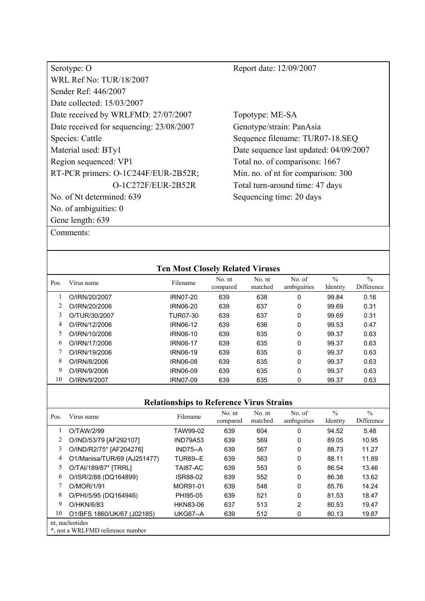| Serotype: O                              |
|------------------------------------------|
| <b>WRL Ref No: TUR/18/2007</b>           |
| Sender Ref: 446/2007                     |
| Date collected: 15/03/2007               |
| Date received by WRLFMD: 27/07/2007      |
| Date received for sequencing: 23/08/2007 |
| Species: Cattle                          |
| Material used: BTy1                      |
| Region sequenced: VP1                    |
| RT-PCR primers: O-1C244F/EUR-2B52R;      |
| $O-1C272F/EUR-2B52R$                     |
| No. of Nt determined: 639                |
| No. of ambiguities: 0                    |
| Gene length: 639                         |

Topotype: ME-SA Genotype/strain: PanAsia Sequence filename: TUR07-18.SEQ Date sequence last updated: 04/09/2007 Total no. of comparisons: 1667 Min. no. of nt for comparison: 300 Total turn-around time: 47 days Sequencing time: 20 days

| Comments: |
|-----------|
|-----------|

|      |               | <b>Ten Most Closely Related Viruses</b> |                    |                   |                       |                           |                             |
|------|---------------|-----------------------------------------|--------------------|-------------------|-----------------------|---------------------------|-----------------------------|
| Pos. | Virus name    | Filename                                | No. nt<br>compared | No. nt<br>matched | No. of<br>ambiguities | $\frac{0}{0}$<br>Identity | $\frac{0}{0}$<br>Difference |
|      | O/IRN/20/2007 | <b>IRN07-20</b>                         | 639                | 638               | 0                     | 99.84                     | 0.16                        |
|      | O/IRN/20/2006 | <b>IRN06-20</b>                         | 639                | 637               | 0                     | 99.69                     | 0.31                        |
| 3    | O/TUR/30/2007 | TUR07-30                                | 639                | 637               | 0                     | 99.69                     | 0.31                        |
| 4    | O/IRN/12/2006 | IRN06-12                                | 639                | 636               | 0                     | 99.53                     | 0.47                        |
| 5    | O/IRN/10/2006 | <b>IRN06-10</b>                         | 639                | 635               | 0                     | 99.37                     | 0.63                        |
| 6    | O/IRN/17/2006 | <b>IRN06-17</b>                         | 639                | 635               | 0                     | 99.37                     | 0.63                        |
| 7    | O/IRN/19/2006 | <b>IRN06-19</b>                         | 639                | 635               | 0                     | 99.37                     | 0.63                        |
| 8    | O/IRN/8/2006  | <b>IRN06-08</b>                         | 639                | 635               | 0                     | 99.37                     | 0.63                        |
| 9    | O/IRN/9/2006  | <b>IRN06-09</b>                         | 639                | 635               | 0                     | 99.37                     | 0.63                        |
| 10   | O/IRN/9/2007  | <b>IRN07-09</b>                         | 639                | 635               | 0                     | 99.37                     | 0.63                        |

| Pos. | Virus name                                          | Filename        | No. nt<br>compared | No. nt<br>matched | No. of<br>ambiguities | $\frac{0}{0}$<br>Identity | $\frac{0}{0}$<br>Difference |  |  |
|------|-----------------------------------------------------|-----------------|--------------------|-------------------|-----------------------|---------------------------|-----------------------------|--|--|
|      | O/TAW/2/99                                          | TAW99-02        | 639                | 604               | 0                     | 94.52                     | 5.48                        |  |  |
|      | O/IND/53/79 [AF292107]                              | <b>IND79A53</b> | 639                | 569               | 0                     | 89.05                     | 10.95                       |  |  |
| 3    | O/IND/R2/75* [AF204276]                             | $IND75-A$       | 639                | 567               | 0                     | 88.73                     | 11.27                       |  |  |
| 4    | O1/Manisa/TUR/69 (AJ251477)                         | <b>TUR69--E</b> | 639                | 563               | $\Omega$              | 88.11                     | 11.89                       |  |  |
| 5.   | O/TAI/189/87* [TRRL]                                | TAI87-AC        | 639                | 553               | 0                     | 86.54                     | 13.46                       |  |  |
| 6    | O/ISR/2/88 (DQ164899)                               | ISR88-02        | 639                | 552               | 0                     | 86.38                     | 13.62                       |  |  |
|      | O/MOR/1/91                                          | MOR91-01        | 639                | 548               | 0                     | 85.76                     | 14.24                       |  |  |
| 8    | O/PHI/5/95 (DQ164946)                               | PHI95-05        | 639                | 521               | 0                     | 81.53                     | 18.47                       |  |  |
| 9    | O/HKN/6/83                                          | <b>HKN83-06</b> | 637                | 513               | 2                     | 80.53                     | 19.47                       |  |  |
| 10   | O1/BFS 1860/UK/67 (J02185)                          | <b>UKG67--A</b> | 639                | 512               | 0                     | 80.13                     | 19.87                       |  |  |
|      | nt, nucleotides<br>*, not a WRLFMD reference number |                 |                    |                   |                       |                           |                             |  |  |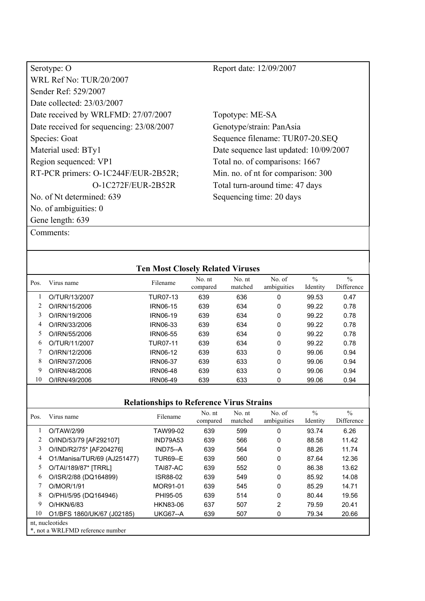| Serotype: O                              |
|------------------------------------------|
| WRL Ref No: TUR/20/2007                  |
| Sender Ref: 529/2007                     |
| Date collected: 23/03/2007               |
| Date received by WRLFMD: 27/07/2007      |
| Date received for sequencing: 23/08/2007 |
| Species: Goat                            |
| Material used: BTy1                      |
| Region sequenced: VP1                    |
| RT-PCR primers: O-1C244F/EUR-2B52R;      |
| O-1C272F/EUR-2B52R                       |
| No. of Nt determined: 639                |
| No. of ambiguities: 0                    |
| Gene length: 639                         |

Topotype: ME-SA Genotype/strain: PanAsia Sequence filename: TUR07-20.SEQ Date sequence last updated: 10/09/2007 Total no. of comparisons: 1667 Min. no. of nt for comparison: 300 Total turn-around time: 47 days Sequencing time: 20 days

Comments:

|      |               | <b>Ten Most Closely Related Viruses</b> |                    |                   |                       |                           |                             |
|------|---------------|-----------------------------------------|--------------------|-------------------|-----------------------|---------------------------|-----------------------------|
| Pos. | Virus name    | Filename                                | No. nt<br>compared | No. nt<br>matched | No. of<br>ambiguities | $\frac{0}{0}$<br>Identity | $\frac{0}{0}$<br>Difference |
|      | O/TUR/13/2007 | TUR07-13                                | 639                | 636               | 0                     | 99.53                     | 0.47                        |
|      | O/IRN/15/2006 | <b>IRN06-15</b>                         | 639                | 634               | 0                     | 99.22                     | 0.78                        |
| 3    | O/IRN/19/2006 | <b>IRN06-19</b>                         | 639                | 634               | 0                     | 99.22                     | 0.78                        |
| 4    | O/IRN/33/2006 | <b>IRN06-33</b>                         | 639                | 634               | 0                     | 99.22                     | 0.78                        |
| 5    | O/IRN/55/2006 | <b>IRN06-55</b>                         | 639                | 634               | 0                     | 99.22                     | 0.78                        |
| 6    | O/TUR/11/2007 | <b>TUR07-11</b>                         | 639                | 634               | 0                     | 99.22                     | 0.78                        |
|      | O/IRN/12/2006 | <b>IRN06-12</b>                         | 639                | 633               | 0                     | 99.06                     | 0.94                        |
| 8    | O/IRN/37/2006 | <b>IRN06-37</b>                         | 639                | 633               | 0                     | 99.06                     | 0.94                        |
| 9    | O/IRN/48/2006 | <b>IRN06-48</b>                         | 639                | 633               | 0                     | 99.06                     | 0.94                        |
| 10   | O/IRN/49/2006 | IRN06-49                                | 639                | 633               | 0                     | 99.06                     | 0.94                        |
|      |               |                                         |                    |                   |                       |                           |                             |

| Pos. | Virus name                                          | Filename        | No. nt<br>compared | No. nt<br>matched | No. of<br>ambiguities | $\frac{0}{0}$<br>Identity | $\frac{0}{0}$<br>Difference |  |
|------|-----------------------------------------------------|-----------------|--------------------|-------------------|-----------------------|---------------------------|-----------------------------|--|
|      | O/TAW/2/99                                          | TAW99-02        | 639                | 599               | 0                     | 93.74                     | 6.26                        |  |
|      | O/IND/53/79 [AF292107]                              | <b>IND79A53</b> | 639                | 566               | 0                     | 88.58                     | 11.42                       |  |
| 3    | O/IND/R2/75* [AF204276]                             | $IND75-A$       | 639                | 564               | 0                     | 88.26                     | 11.74                       |  |
| 4    | O1/Manisa/TUR/69 (AJ251477)                         | <b>TUR69--E</b> | 639                | 560               | 0                     | 87.64                     | 12.36                       |  |
| 5    | O/TAI/189/87* [TRRL]                                | TAI87-AC        | 639                | 552               | 0                     | 86.38                     | 13.62                       |  |
| 6    | O/ISR/2/88 (DQ164899)                               | ISR88-02        | 639                | 549               | 0                     | 85.92                     | 14.08                       |  |
|      | O/MOR/1/91                                          | MOR91-01        | 639                | 545               | 0                     | 85.29                     | 14.71                       |  |
| 8    | O/PHI/5/95 (DQ164946)                               | PHI95-05        | 639                | 514               | 0                     | 80.44                     | 19.56                       |  |
| 9    | O/HKN/6/83                                          | <b>HKN83-06</b> | 637                | 507               | 2                     | 79.59                     | 20.41                       |  |
| 10   | O1/BFS 1860/UK/67 (J02185)                          | <b>UKG67--A</b> | 639                | 507               | 0                     | 79.34                     | 20.66                       |  |
|      | nt, nucleotides<br>*, not a WRLFMD reference number |                 |                    |                   |                       |                           |                             |  |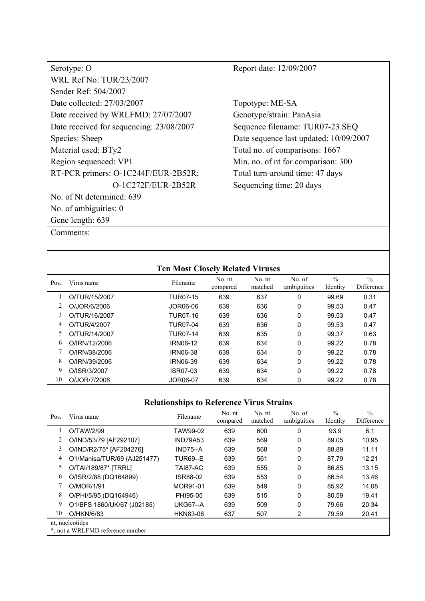| Serotype: O                              |
|------------------------------------------|
| <b>WRL Ref No: TUR/23/2007</b>           |
| Sender Ref: 504/2007                     |
| Date collected: 27/03/2007               |
| Date received by WRLFMD: 27/07/2007      |
| Date received for sequencing: 23/08/2007 |
| Species: Sheep                           |
| Material used: BTy2                      |
| Region sequenced: VP1                    |
| RT-PCR primers: O-1C244F/EUR-2B52R;      |
| O-1C272F/EUR-2B52R                       |
| No. of Nt determined: 639                |
| No. of ambiguities: 0                    |
| Gene length: 639                         |

Comments:

Report date: 12/09/2007

Topotype: ME-SA Genotype/strain: PanAsia Sequence filename: TUR07-23.SEQ Date sequence last updated: 10/09/2007 Total no. of comparisons: 1667 Min. no. of nt for comparison: 300 Total turn-around time: 47 days Sequencing time: 20 days

| <b>Ten Most Closely Related Viruses</b> |               |                 |                    |                   |                       |                           |                             |  |
|-----------------------------------------|---------------|-----------------|--------------------|-------------------|-----------------------|---------------------------|-----------------------------|--|
| Pos.                                    | Virus name    | Filename        | No. nt<br>compared | No. nt<br>matched | No. of<br>ambiguities | $\frac{0}{0}$<br>Identity | $\frac{0}{0}$<br>Difference |  |
|                                         | O/TUR/15/2007 | <b>TUR07-15</b> | 639                | 637               | 0                     | 99.69                     | 0.31                        |  |
| 2                                       | O/JOR/6/2006  | JOR06-06        | 639                | 636               | 0                     | 99.53                     | 0.47                        |  |
| 3                                       | O/TUR/16/2007 | <b>TUR07-16</b> | 639                | 636               | 0                     | 99.53                     | 0.47                        |  |
| 4                                       | O/TUR/4/2007  | <b>TUR07-04</b> | 639                | 636               | 0                     | 99.53                     | 0.47                        |  |
| 5                                       | O/TUR/14/2007 | <b>TUR07-14</b> | 639                | 635               | 0                     | 99.37                     | 0.63                        |  |
| 6                                       | O/IRN/12/2006 | <b>IRN06-12</b> | 639                | 634               | 0                     | 99.22                     | 0.78                        |  |
|                                         | O/IRN/38/2006 | <b>IRN06-38</b> | 639                | 634               | 0                     | 99.22                     | 0.78                        |  |
| 8                                       | O/IRN/39/2006 | <b>IRN06-39</b> | 639                | 634               | $\Omega$              | 99.22                     | 0.78                        |  |
| 9                                       | O/ISR/3/2007  | ISR07-03        | 639                | 634               | 0                     | 99.22                     | 0.78                        |  |
| 10                                      | O/JOR/7/2006  | JOR06-07        | 639                | 634               | 0                     | 99.22                     | 0.78                        |  |

| Pos. | Virus name                                          | Filename        | No. nt<br>compared | No. nt<br>matched | No. of<br>ambiguities | $\frac{0}{0}$<br>Identity | $\frac{0}{0}$<br>Difference |  |
|------|-----------------------------------------------------|-----------------|--------------------|-------------------|-----------------------|---------------------------|-----------------------------|--|
|      | O/TAW/2/99                                          | TAW99-02        | 639                | 600               | 0                     | 93.9                      | 6.1                         |  |
|      | O/IND/53/79 [AF292107]                              | <b>IND79A53</b> | 639                | 569               | 0                     | 89.05                     | 10.95                       |  |
| 3    | O/IND/R2/75* [AF204276]                             | $IND75-A$       | 639                | 568               | 0                     | 88.89                     | 11.11                       |  |
| 4    | O1/Manisa/TUR/69 (AJ251477)                         | <b>TUR69--E</b> | 639                | 561               | 0                     | 87.79                     | 12.21                       |  |
| 5.   | O/TAI/189/87* [TRRL]                                | TAI87-AC        | 639                | 555               | 0                     | 86.85                     | 13.15                       |  |
| 6    | O/ISR/2/88 (DQ164899)                               | ISR88-02        | 639                | 553               | $\Omega$              | 86.54                     | 13.46                       |  |
|      | O/MOR/1/91                                          | MOR91-01        | 639                | 549               | 0                     | 85.92                     | 14.08                       |  |
| 8    | O/PHI/5/95 (DQ164946)                               | PHI95-05        | 639                | 515               | 0                     | 80.59                     | 19.41                       |  |
| 9    | O1/BFS 1860/UK/67 (J02185)                          | <b>UKG67--A</b> | 639                | 509               | 0                     | 79.66                     | 20.34                       |  |
| 10   | O/HKN/6/83                                          | <b>HKN83-06</b> | 637                | 507               | 2                     | 79.59                     | 20.41                       |  |
|      | nt, nucleotides<br>*, not a WRLFMD reference number |                 |                    |                   |                       |                           |                             |  |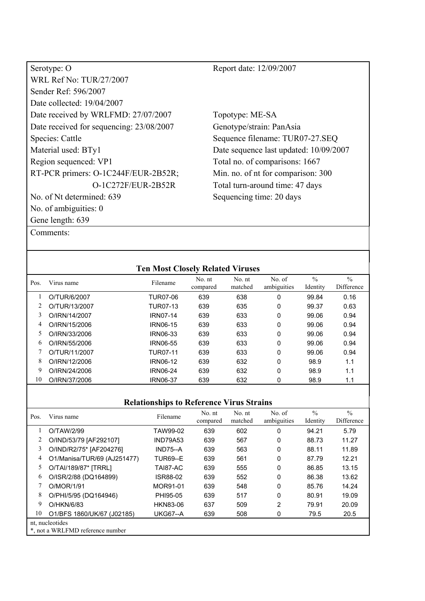| Serotype: O                              |
|------------------------------------------|
| WRL Ref No: TUR/27/2007                  |
| Sender Ref: 596/2007                     |
| Date collected: 19/04/2007               |
| Date received by WRLFMD: 27/07/2007      |
| Date received for sequencing: 23/08/2007 |
| Species: Cattle                          |
| Material used: BTy1                      |
| Region sequenced: VP1                    |
| RT-PCR primers: O-1C244F/EUR-2B52R;      |
| O-1C272F/EUR-2B52R                       |
| No. of Nt determined: 639                |
| No. of ambiguities: 0                    |
| Gene length: 639                         |

Topotype: ME-SA Genotype/strain: PanAsia Sequence filename: TUR07-27.SEQ Date sequence last updated: 10/09/2007 Total no. of comparisons: 1667 Min. no. of nt for comparison: 300 Total turn-around time: 47 days Sequencing time: 20 days

Comments:

|      |               | <b>Ten Most Closely Related Viruses</b> |                    |                   |                       |                           |                             |
|------|---------------|-----------------------------------------|--------------------|-------------------|-----------------------|---------------------------|-----------------------------|
| Pos. | Virus name    | Filename                                | No. nt<br>compared | No. nt<br>matched | No. of<br>ambiguities | $\frac{0}{0}$<br>Identity | $\frac{0}{0}$<br>Difference |
|      | O/TUR/6/2007  | TUR07-06                                | 639                | 638               | 0                     | 99.84                     | 0.16                        |
|      | O/TUR/13/2007 | TUR07-13                                | 639                | 635               | 0                     | 99.37                     | 0.63                        |
| 3    | O/IRN/14/2007 | <b>IRN07-14</b>                         | 639                | 633               | 0                     | 99.06                     | 0.94                        |
| 4    | O/IRN/15/2006 | <b>IRN06-15</b>                         | 639                | 633               | 0                     | 99.06                     | 0.94                        |
| 5    | O/IRN/33/2006 | <b>IRN06-33</b>                         | 639                | 633               | 0                     | 99.06                     | 0.94                        |
| 6    | O/IRN/55/2006 | <b>IRN06-55</b>                         | 639                | 633               | 0                     | 99.06                     | 0.94                        |
|      | O/TUR/11/2007 | TUR07-11                                | 639                | 633               | 0                     | 99.06                     | 0.94                        |
| 8    | O/IRN/12/2006 | <b>IRN06-12</b>                         | 639                | 632               | 0                     | 98.9                      | 1.1                         |
| 9    | O/IRN/24/2006 | IRN06-24                                | 639                | 632               | 0                     | 98.9                      | 1.1                         |
| 10   | O/IRN/37/2006 | <b>IRN06-37</b>                         | 639                | 632               | 0                     | 98.9                      | 1.1                         |
|      |               |                                         |                    |                   |                       |                           |                             |

| Pos. | Virus name                                          | Filename        | No. nt<br>compared | No. nt<br>matched | No. of<br>ambiguities | $\frac{0}{0}$<br>Identity | $\frac{0}{0}$<br>Difference |  |
|------|-----------------------------------------------------|-----------------|--------------------|-------------------|-----------------------|---------------------------|-----------------------------|--|
|      | O/TAW/2/99                                          | TAW99-02        | 639                | 602               | 0                     | 94.21                     | 5.79                        |  |
|      | O/IND/53/79 [AF292107]                              | <b>IND79A53</b> | 639                | 567               | 0                     | 88.73                     | 11.27                       |  |
| 3    | O/IND/R2/75* [AF204276]                             | IND75--A        | 639                | 563               | 0                     | 88.11                     | 11.89                       |  |
| 4    | O1/Manisa/TUR/69 (AJ251477)                         | <b>TUR69--E</b> | 639                | 561               | 0                     | 87.79                     | 12.21                       |  |
| 5    | O/TAI/189/87* [TRRL]                                | TAI87-AC        | 639                | 555               | 0                     | 86.85                     | 13.15                       |  |
| 6    | O/ISR/2/88 (DQ164899)                               | ISR88-02        | 639                | 552               | 0                     | 86.38                     | 13.62                       |  |
|      | O/MOR/1/91                                          | MOR91-01        | 639                | 548               | 0                     | 85.76                     | 14.24                       |  |
| 8    | O/PHI/5/95 (DQ164946)                               | PHI95-05        | 639                | 517               | 0                     | 80.91                     | 19.09                       |  |
| 9    | O/HKN/6/83                                          | <b>HKN83-06</b> | 637                | 509               | 2                     | 79.91                     | 20.09                       |  |
| 10   | O1/BFS 1860/UK/67 (J02185)                          | <b>UKG67--A</b> | 639                | 508               | 0                     | 79.5                      | 20.5                        |  |
|      | nt, nucleotides<br>*, not a WRLFMD reference number |                 |                    |                   |                       |                           |                             |  |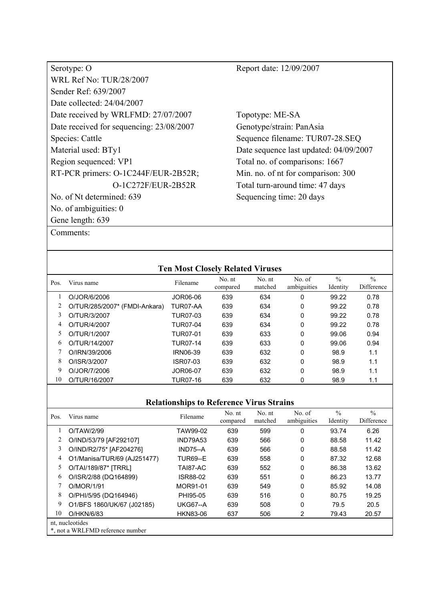| Serotype: O                              |
|------------------------------------------|
| <b>WRL Ref No: TUR/28/2007</b>           |
| Sender Ref: 639/2007                     |
| Date collected: $24/04/2007$             |
| Date received by WRLFMD: 27/07/2007      |
| Date received for sequencing: 23/08/2007 |
| Species: Cattle                          |
| Material used: BTy1                      |
| Region sequenced: VP1                    |
| RT-PCR primers: O-1C244F/EUR-2B52R;      |
| O-1C272F/EUR-2B52R                       |
| No. of Nt determined: 639                |
| No. of ambiguities: 0                    |
| Gene length: 639                         |
| Comments:                                |

Topotype: ME-SA Genotype/strain: PanAsia Sequence filename: TUR07-28.SEQ Date sequence last updated: 04/09/2007 Total no. of comparisons: 1667 Min. no. of nt for comparison: 300 Total turn-around time: 47 days Sequencing time: 20 days

| <b>Ten Most Closely Related Viruses</b> |                               |                 |                    |                   |                       |                           |                             |  |  |
|-----------------------------------------|-------------------------------|-----------------|--------------------|-------------------|-----------------------|---------------------------|-----------------------------|--|--|
| Pos.                                    | Virus name                    | Filename        | No. nt<br>compared | No. nt<br>matched | No. of<br>ambiguities | $\frac{0}{0}$<br>Identity | $\frac{0}{0}$<br>Difference |  |  |
|                                         | O/JOR/6/2006                  | JOR06-06        | 639                | 634               | 0                     | 99.22                     | 0.78                        |  |  |
|                                         | O/TUR/285/2007* (FMDI-Ankara) | TUR07-AA        | 639                | 634               | 0                     | 99.22                     | 0.78                        |  |  |
| 3                                       | O/TUR/3/2007                  | TUR07-03        | 639                | 634               | 0                     | 99.22                     | 0.78                        |  |  |
| 4                                       | O/TUR/4/2007                  | <b>TUR07-04</b> | 639                | 634               | 0                     | 99.22                     | 0.78                        |  |  |
| 5                                       | O/TUR/1/2007                  | <b>TUR07-01</b> | 639                | 633               | 0                     | 99.06                     | 0.94                        |  |  |
| 6                                       | O/TUR/14/2007                 | TUR07-14        | 639                | 633               | 0                     | 99.06                     | 0.94                        |  |  |
|                                         | O/IRN/39/2006                 | <b>IRN06-39</b> | 639                | 632               | 0                     | 98.9                      | 1.1                         |  |  |
| 8                                       | O/ISR/3/2007                  | ISR07-03        | 639                | 632               | 0                     | 98.9                      | 1.1                         |  |  |
| 9                                       | O/JOR/7/2006                  | JOR06-07        | 639                | 632               | 0                     | 98.9                      | 1.1                         |  |  |
| 10                                      | O/TUR/16/2007                 | <b>TUR07-16</b> | 639                | 632               | 0                     | 98.9                      | 1.1                         |  |  |
|                                         |                               |                 |                    |                   |                       |                           |                             |  |  |

| Pos. | Virus name                                          | Filename        | No. nt<br>compared | No. nt<br>matched | No. of<br>ambiguities | $\frac{0}{0}$<br>Identity | $\frac{0}{0}$<br>Difference |  |
|------|-----------------------------------------------------|-----------------|--------------------|-------------------|-----------------------|---------------------------|-----------------------------|--|
|      | O/TAW/2/99                                          | TAW99-02        | 639                | 599               | 0                     | 93.74                     | 6.26                        |  |
|      | O/IND/53/79 [AF292107]                              | <b>IND79A53</b> | 639                | 566               | 0                     | 88.58                     | 11.42                       |  |
| 3    | O/IND/R2/75* [AF204276]                             | $IND75-A$       | 639                | 566               | 0                     | 88.58                     | 11.42                       |  |
| 4    | O1/Manisa/TUR/69 (AJ251477)                         | <b>TUR69--E</b> | 639                | 558               | 0                     | 87.32                     | 12.68                       |  |
| 5    | O/TAI/189/87* [TRRL]                                | TAI87-AC        | 639                | 552               | 0                     | 86.38                     | 13.62                       |  |
| 6    | O/ISR/2/88 (DQ164899)                               | ISR88-02        | 639                | 551               | $\Omega$              | 86.23                     | 13.77                       |  |
|      | O/MOR/1/91                                          | MOR91-01        | 639                | 549               | 0                     | 85.92                     | 14.08                       |  |
| 8    | O/PHI/5/95 (DQ164946)                               | PHI95-05        | 639                | 516               | 0                     | 80.75                     | 19.25                       |  |
| 9    | O1/BFS 1860/UK/67 (J02185)                          | <b>UKG67--A</b> | 639                | 508               | 0                     | 79.5                      | 20.5                        |  |
| 10   | O/HKN/6/83                                          | <b>HKN83-06</b> | 637                | 506               | 2                     | 79.43                     | 20.57                       |  |
|      | nt, nucleotides<br>*, not a WRLFMD reference number |                 |                    |                   |                       |                           |                             |  |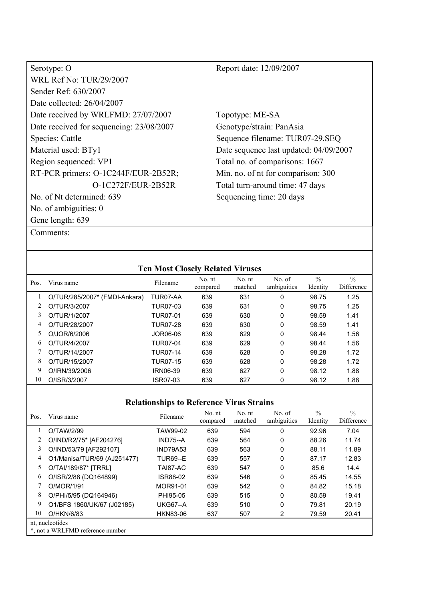| Serotype: O                              | Report date: 12/09/2007                |
|------------------------------------------|----------------------------------------|
| <b>WRL Ref No: TUR/29/2007</b>           |                                        |
| Sender Ref: 630/2007                     |                                        |
| Date collected: 26/04/2007               |                                        |
| Date received by WRLFMD: 27/07/2007      | Topotype: ME-SA                        |
| Date received for sequencing: 23/08/2007 | Genotype/strain: PanAsia               |
| Species: Cattle                          | Sequence filename: TUR07-29.SEQ        |
| Material used: BTy1                      | Date sequence last updated: 04/09/2007 |
| Region sequenced: VP1                    | Total no. of comparisons: 1667         |
| RT-PCR primers: O-1C244F/EUR-2B52R;      | Min. no. of nt for comparison: 300     |
| O-1C272F/EUR-2B52R                       | Total turn-around time: 47 days        |
| No. of Nt determined: 639                | Sequencing time: 20 days               |
| No. of ambiguities: 0                    |                                        |
| Gene length: 639                         |                                        |
| Comments:                                |                                        |

| <b>Ten Most Closely Related Viruses</b>         |                                                                                                    |                 |                    |                   |                       |                           |                             |  |  |
|-------------------------------------------------|----------------------------------------------------------------------------------------------------|-----------------|--------------------|-------------------|-----------------------|---------------------------|-----------------------------|--|--|
| Pos.                                            | Virus name                                                                                         | Filename        | No. nt<br>compared | No. nt<br>matched | No. of<br>ambiguities | $\frac{0}{0}$<br>Identity | $\frac{0}{0}$<br>Difference |  |  |
| 1                                               | O/TUR/285/2007* (FMDI-Ankara)                                                                      | TUR07-AA        | 639                | 631               | 0                     | 98.75                     | 1.25                        |  |  |
|                                                 | O/TUR/3/2007                                                                                       | <b>TUR07-03</b> | 639                | 631               | 0                     | 98.75                     | 1.25                        |  |  |
| 3                                               | O/TUR/1/2007                                                                                       | <b>TUR07-01</b> | 639                | 630               | 0                     | 98.59                     | 1.41                        |  |  |
| 4                                               | O/TUR/28/2007                                                                                      | <b>TUR07-28</b> | 639                | 630               | 0                     | 98.59                     | 1.41                        |  |  |
| 5                                               | O/JOR/6/2006                                                                                       | <b>JOR06-06</b> | 639                | 629               | 0                     | 98.44                     | 1.56                        |  |  |
| 6                                               | O/TUR/4/2007                                                                                       | <b>TUR07-04</b> | 639                | 629               | 0                     | 98.44                     | 1.56                        |  |  |
|                                                 | O/TUR/14/2007                                                                                      | <b>TUR07-14</b> | 639                | 628               | 0                     | 98.28                     | 1.72                        |  |  |
| 8                                               | O/TUR/15/2007                                                                                      | <b>TUR07-15</b> | 639                | 628               | 0                     | 98.28                     | 1.72                        |  |  |
| 9                                               | O/IRN/39/2006                                                                                      | <b>IRN06-39</b> | 639                | 627               | 0                     | 98.12                     | 1.88                        |  |  |
| 10                                              | O/ISR/3/2007                                                                                       | ISR07-03        | 639                | 627               | 0                     | 98.12                     | 1.88                        |  |  |
|                                                 |                                                                                                    |                 |                    |                   |                       |                           |                             |  |  |
| <b>Relationships to Reference Virus Strains</b> |                                                                                                    |                 |                    |                   |                       |                           |                             |  |  |
| Pos.                                            | Virus name                                                                                         | Filename        | No. nt<br>compared | No. nt<br>matched | No. of<br>ambiguities | $\frac{0}{0}$<br>Identity | $\frac{0}{0}$<br>Difference |  |  |
|                                                 | O/TAW/2/99                                                                                         | TAW99-02        | 639                | 594               | 0                     | 92.96                     | 7.04                        |  |  |
|                                                 | $\bigcap / \bigcup / \bigcap / \bigcap Z \subseteq * \bigcap \bigcap \bigcap A \cap Z \subseteq 1$ | $ININZE$ $A$    | con                | EG <sub>A</sub>   | <sup>n</sup>          | 00, 20                    | 11 7A                       |  |  |

|    | U/TAW/2/99                       | AVVYY-UZ        | ৩৩৬ | 594 | υ | 92.90 | 7.U4  |  |
|----|----------------------------------|-----------------|-----|-----|---|-------|-------|--|
| 2  | O/IND/R2/75* [AF204276]          | $IND75-A$       | 639 | 564 | 0 | 88.26 | 11.74 |  |
| 3  | O/IND/53/79 [AF292107]           | <b>IND79A53</b> | 639 | 563 | 0 | 88.11 | 11.89 |  |
| 4  | O1/Manisa/TUR/69 (AJ251477)      | <b>TUR69--E</b> | 639 | 557 | 0 | 87.17 | 12.83 |  |
| 5. | O/TAI/189/87* [TRRL]             | TAI87-AC        | 639 | 547 | 0 | 85.6  | 14.4  |  |
| 6  | O/ISR/2/88 (DQ164899)            | <b>ISR88-02</b> | 639 | 546 | 0 | 85.45 | 14.55 |  |
|    | O/MOR/1/91                       | MOR91-01        | 639 | 542 | 0 | 84.82 | 15.18 |  |
| 8  | O/PHI/5/95 (DQ164946)            | PHI95-05        | 639 | 515 | 0 | 80.59 | 19.41 |  |
| 9. | O1/BFS 1860/UK/67 (J02185)       | <b>UKG67--A</b> | 639 | 510 | 0 | 79.81 | 20.19 |  |
| 10 | O/HKN/6/83                       | <b>HKN83-06</b> | 637 | 507 | 2 | 79.59 | 20.41 |  |
|    | nt, nucleotides                  |                 |     |     |   |       |       |  |
|    | *, not a WRLFMD reference number |                 |     |     |   |       |       |  |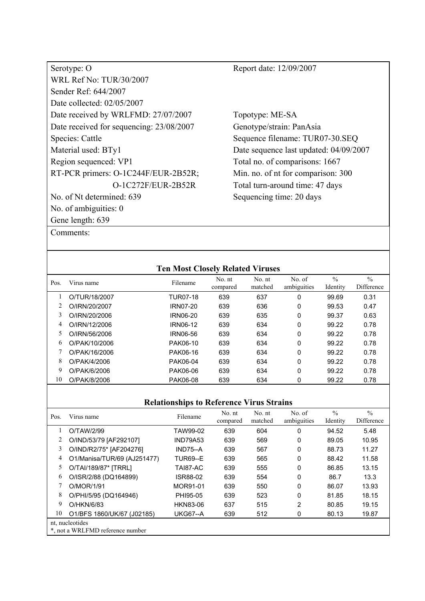| Serotype: O                              |
|------------------------------------------|
| <b>WRL Ref No: TUR/30/2007</b>           |
| Sender Ref: 644/2007                     |
| Date collected: 02/05/2007               |
| Date received by WRLFMD: 27/07/2007      |
| Date received for sequencing: 23/08/2007 |
| Species: Cattle                          |
| Material used: BTy1                      |
| Region sequenced: VP1                    |
| RT-PCR primers: O-1C244F/EUR-2B52R;      |
| $O-1C272F/EUR-2B52R$                     |
| No. of Nt determined: 639                |
| No. of ambiguities: 0                    |
| Gene length: 639                         |

Topotype: ME-SA Genotype/strain: PanAsia Sequence filename: TUR07-30.SEQ Date sequence last updated: 04/09/2007 Total no. of comparisons: 1667 Min. no. of nt for comparison: 300 Total turn-around time: 47 days Sequencing time: 20 days

|      |               | <b>Ten Most Closely Related Viruses</b> |                    |                   |                       |                           |                             |
|------|---------------|-----------------------------------------|--------------------|-------------------|-----------------------|---------------------------|-----------------------------|
| Pos. | Virus name    | Filename                                | No. nt<br>compared | No. nt<br>matched | No. of<br>ambiguities | $\frac{0}{0}$<br>Identity | $\frac{0}{0}$<br>Difference |
|      | O/TUR/18/2007 | <b>TUR07-18</b>                         | 639                | 637               | 0                     | 99.69                     | 0.31                        |
|      | O/IRN/20/2007 | <b>IRN07-20</b>                         | 639                | 636               | 0                     | 99.53                     | 0.47                        |
| 3    | O/IRN/20/2006 | <b>IRN06-20</b>                         | 639                | 635               | 0                     | 99.37                     | 0.63                        |
| 4    | O/IRN/12/2006 | IRN06-12                                | 639                | 634               | 0                     | 99.22                     | 0.78                        |
| 5    | O/IRN/56/2006 | IRN06-56                                | 639                | 634               | 0                     | 99.22                     | 0.78                        |
| 6    | O/PAK/10/2006 | PAK06-10                                | 639                | 634               | 0                     | 99.22                     | 0.78                        |
| 7    | O/PAK/16/2006 | PAK06-16                                | 639                | 634               | 0                     | 99.22                     | 0.78                        |
| 8    | O/PAK/4/2006  | PAK06-04                                | 639                | 634               | $\Omega$              | 99.22                     | 0.78                        |
| 9    | O/PAK/6/2006  | PAK06-06                                | 639                | 634               | 0                     | 99.22                     | 0.78                        |
| 10   | O/PAK/8/2006  | PAK06-08                                | 639                | 634               | 0                     | 99.22                     | 0.78                        |

| Pos. | Virus name                                          | Filename        | No. nt<br>compared | No. nt<br>matched | No. of<br>ambiguities | $\frac{0}{0}$<br>Identity | $\frac{0}{0}$<br>Difference |
|------|-----------------------------------------------------|-----------------|--------------------|-------------------|-----------------------|---------------------------|-----------------------------|
|      | O/TAW/2/99                                          | TAW99-02        | 639                | 604               | 0                     | 94.52                     | 5.48                        |
|      | O/IND/53/79 [AF292107]                              | <b>IND79A53</b> | 639                | 569               | 0                     | 89.05                     | 10.95                       |
| 3    | O/IND/R2/75* [AF204276]                             | $IND75-A$       | 639                | 567               | 0                     | 88.73                     | 11.27                       |
| 4    | O1/Manisa/TUR/69 (AJ251477)                         | <b>TUR69--E</b> | 639                | 565               | 0                     | 88.42                     | 11.58                       |
| 5    | O/TAI/189/87* [TRRL]                                | TAI87-AC        | 639                | 555               | 0                     | 86.85                     | 13.15                       |
| 6    | O/ISR/2/88 (DQ164899)                               | ISR88-02        | 639                | 554               | 0                     | 86.7                      | 13.3                        |
|      | O/MOR/1/91                                          | MOR91-01        | 639                | 550               | 0                     | 86.07                     | 13.93                       |
| 8    | O/PHI/5/95 (DQ164946)                               | PHI95-05        | 639                | 523               | 0                     | 81.85                     | 18.15                       |
| 9    | O/HKN/6/83                                          | HKN83-06        | 637                | 515               | 2                     | 80.85                     | 19.15                       |
| 10   | O1/BFS 1860/UK/67 (J02185)                          | <b>UKG67--A</b> | 639                | 512               | 0                     | 80.13                     | 19.87                       |
|      | nt, nucleotides<br>*, not a WRLFMD reference number |                 |                    |                   |                       |                           |                             |